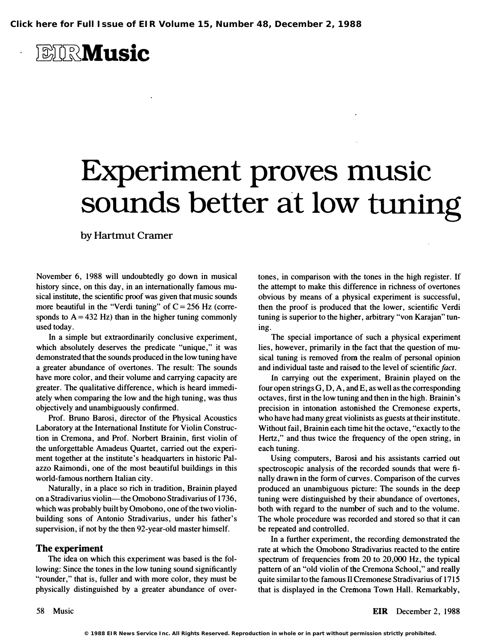**ETRMusic** 

## Experiment proves music sounds better at low tuning

by Hartmut Cramer

November 6, 1988 will undoubtedly go down in musical history since, on this day, in an internationally famous musical institute, the scientific proof was given that music sounds more beautiful in the "Verdi tuning" of  $C = 256$  Hz (corresponds to  $A = 432$  Hz) than in the higher tuning commonly used today.

In a simple but extraordinarily conclusive experiment, which absolutely deserves the predicate "unique," it was demonstrated that the sounds produced in the low tuning have a greater abundance of overtones. The result: The sounds have more color, and their volume and carrying capacity are greater. The qualitative difference, which is heard immediately when comparing the low and the high tuning, was thus objectively and unambiguously confirmed.

Prof. Bruno Barosi, director of the Physical Acoustics Laboratory at the International Institute for Violin Construction in Cremona, and Prof. Norbert Brainin, first violin of the unforgettable Amadeus Quartet, carried out the experiment together at the institute's headquarters in historic Palazzo Raimondi, one of the most beautiful buildings in this world-famous northern Italian city.

Naturally, in a place so rich in tradition, Brainin played on a Stradivarius violin-the Omobono Stradivarius of 1736, which was probably built by Omobono, one of the two violinbuilding sons of Antonio Stradivarius, under his father's supervision, if not by the then 92-year-old master himself.

## The experiment

The idea on which this experiment was based is the following: Since the tones in the low tuning sound significantly "rounder," that is, fuller and with more color, they must be physically distinguished by a greater abundance of overtones, in comparison with the tones in the high register. If the attempt to make this difference in richness of overtones obvious by means of a physical experiment is successful, then the proof is produced that the lower, scientific Verdi tuning is superior to the higher, arbitrary "von Karajan" tuning.

The special importance of such a physical experiment lies, however, primarily in the fact that the question of musical tuning is removed from the realm of personal opinion and individual taste and raised to the level of scientific fact.

In carrying out the experiment, Brainin played on the four open strings G, D, A, and E, as well as the corresponding octaves, first in the low tuning and then in the high. Brainin's precision in intonation astonished the Cremonese experts, who have had many great violinists as guests at their institute. Without fail, Brainin each time hit the octave, "exactly to the Hertz," and thus twice the frequency of the open string, in each tuning.

Using computers, Barosi and his assistants carried out spectroscopic analysis of the recorded sounds that were finally drawn in the form of curves. Comparison of the curves produced an unambiguous picture: The sounds in the deep tuning were distinguished by their abundance of overtones, both with regard to the number of such and to the volume. The whole procedure was recorded and stored so that it can be repeated and controlled.

In a further experiment, the recording demonstrated the rate at which the Omobono Stradivarius reacted to the entire spectrum of frequencies from 20 to 20,000 Hz, the typical pattern of an "old violin of the Cremona School," and really quite similar to the famous II Cremonese Stradivarius of 1715 that is displayed in the Cremona Town Hall. Remarkably,